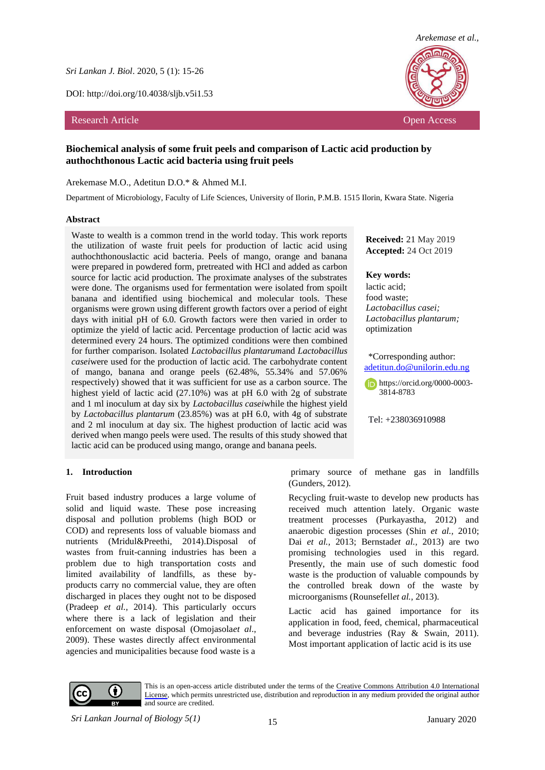*Sri Lankan J. Biol*. 2020, 5 (1): 15-26

DOI: http://doi.org/10.4038/sljb.v5i1.53

### Research Article **Open Access Contract Article** Open Access **Open Access Open Access Open Access Open Access Open Access Open Access Open Access Open Access Open Access Open Access Open Access Open**



# **Biochemical analysis of some fruit peels and comparison of Lactic acid production by authochthonous Lactic acid bacteria using fruit peels**

#### Arekemase M.O., Adetitun D.O.\* & Ahmed M.I.

Department of Microbiology, Faculty of Life Sciences, University of Ilorin, P.M.B. 1515 Ilorin, Kwara State. Nigeria

#### **Abstract**

Waste to wealth is a common trend in the world today. This work reports the utilization of waste fruit peels for production of lactic acid using authochthonouslactic acid bacteria. Peels of mango, orange and banana were prepared in powdered form, pretreated with HCl and added as carbon source for lactic acid production. The proximate analyses of the substrates were done. The organisms used for fermentation were isolated from spoilt banana and identified using biochemical and molecular tools. These organisms were grown using different growth factors over a period of eight days with initial pH of 6.0. Growth factors were then varied in order to optimize the yield of lactic acid. Percentage production of lactic acid was determined every 24 hours. The optimized conditions were then combined for further comparison. Isolated *Lactobacillus plantarum*and *Lactobacillus casei*were used for the production of lactic acid. The carbohydrate content of mango, banana and orange peels (62.48%, 55.34% and 57.06% respectively) showed that it was sufficient for use as a carbon source. The highest yield of lactic acid (27.10%) was at pH 6.0 with 2g of substrate and 1 ml inoculum at day six by *Lactobacillus casei*while the highest yield by *Lactobacillus plantarum* (23.85%) was at pH 6.0, with 4g of substrate and 2 ml inoculum at day six. The highest production of lactic acid was derived when mango peels were used. The results of this study showed that lactic acid can be produced using mango, orange and banana peels.

## **Received:** 21 May 2019 **Accepted:** 24 Oct 2019

### **Key words:**

lactic acid; food waste; *Lactobacillus casei; Lactobacillus plantarum;*  optimization

#### \*Corresponding author: [adetitun.do@unilorin.edu.ng](mailto:adetitun.do@unilorin.edu.ng)

[https://orcid.org/0000-0003-](https://orcid.org/0000-0003-3814-8783) [3814-8783](https://orcid.org/0000-0003-3814-8783)

Tel: +238036910988

#### **1. Introduction**

Fruit based industry produces a large volume of solid and liquid waste. These pose increasing disposal and pollution problems (high BOD or COD) and represents loss of valuable biomass and nutrients (Mridul&Preethi, 2014).Disposal of wastes from fruit-canning industries has been a problem due to high transportation costs and limited availability of landfills, as these byproducts carry no commercial value, they are often discharged in places they ought not to be disposed (Pradeep *et al.,* 2014). This particularly occurs where there is a lack of legislation and their enforcement on waste disposal (Omojasola*et al*., 2009). These wastes directly affect environmental agencies and municipalities because food waste is a

primary source of methane gas in landfills (Gunders, 2012).

Recycling fruit-waste to develop new products has received much attention lately. Organic waste treatment processes (Purkayastha, 2012) and anaerobic digestion processes (Shin *et al.,* 2010; Dai *et al.,* 2013; Bernstad*et al.,* 2013) are two promising technologies used in this regard. Presently, the main use of such domestic food waste is the production of valuable compounds by the controlled break down of the waste by microorganisms (Rounsefell*et al.,* 2013).

Lactic acid has gained importance for its application in food, feed, chemical, pharmaceutical and beverage industries (Ray & Swain, 2011). Most important application of lactic acid is its use



This is an open-access article distributed under the terms of the [Creative Commons Attribution 4.0 International](https://creativecommons.org/licenses/by/4.0/)  [License,](https://creativecommons.org/licenses/by/4.0/) which permits unrestricted use, distribution and reproduction in any medium provided the original author and source are credited.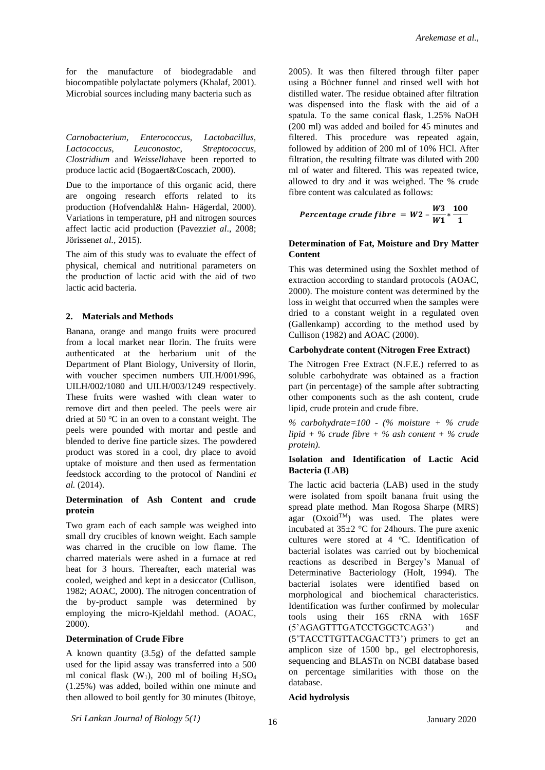for the manufacture of biodegradable and biocompatible polylactate polymers (Khalaf, 2001). Microbial sources including many bacteria such as

*Carnobacterium, Enterococcus, Lactobacillus, Lactococcus, Leuconostoc, Streptococcus, Clostridium* and *Weissella*have been reported to produce lactic acid (Bogaert&Coscach, 2000).

Due to the importance of this organic acid, there are ongoing research efforts related to its production (Hofvendahl& Hahn- Hägerdal, 2000). Variations in temperature, pH and nitrogen sources affect lactic acid production (Pavezzi*et al*., 2008; Jörissen*et al.,* 2015).

The aim of this study was to evaluate the effect of physical, chemical and nutritional parameters on the production of lactic acid with the aid of two lactic acid bacteria.

## **2. Materials and Methods**

Banana, orange and mango fruits were procured from a local market near Ilorin. The fruits were authenticated at the herbarium unit of the Department of Plant Biology, University of Ilorin, with voucher specimen numbers UILH/001/996, UILH/002/1080 and UILH/003/1249 respectively. These fruits were washed with clean water to remove dirt and then peeled. The peels were air dried at 50  $\mathrm{°C}$  in an oven to a constant weight. The peels were pounded with mortar and pestle and blended to derive fine particle sizes. The powdered product was stored in a cool, dry place to avoid uptake of moisture and then used as fermentation feedstock according to the protocol of Nandini *et al.* (2014).

# **Determination of Ash Content and crude protein**

Two gram each of each sample was weighed into small dry crucibles of known weight. Each sample was charred in the crucible on low flame. The charred materials were ashed in a furnace at red heat for 3 hours. Thereafter, each material was cooled, weighed and kept in a desiccator (Cullison, 1982; AOAC, 2000). The nitrogen concentration of the by-product sample was determined by employing the micro-Kjeldahl method. (AOAC, 2000).

## **Determination of Crude Fibre**

A known quantity (3.5g) of the defatted sample used for the lipid assay was transferred into a 500 ml conical flask  $(W_1)$ , 200 ml of boiling  $H_2SO_4$ (1.25%) was added, boiled within one minute and then allowed to boil gently for 30 minutes (Ibitoye,

2005). It was then filtered through filter paper using a Büchner funnel and rinsed well with hot distilled water. The residue obtained after filtration was dispensed into the flask with the aid of a spatula. To the same conical flask, 1.25% NaOH (200 ml) was added and boiled for 45 minutes and filtered. This procedure was repeated again, followed by addition of 200 ml of 10% HCl. After filtration, the resulting filtrate was diluted with 200 ml of water and filtered. This was repeated twice, allowed to dry and it was weighed. The % crude fibre content was calculated as follows:

$$
Percentage crude fibre = W2 - \frac{W3}{W1} * \frac{100}{1}
$$

## **Determination of Fat, Moisture and Dry Matter Content**

This was determined using the Soxhlet method of extraction according to standard protocols (AOAC, 2000). The moisture content was determined by the loss in weight that occurred when the samples were dried to a constant weight in a regulated oven (Gallenkamp) according to the method used by Cullison (1982) and AOAC (2000).

# **Carbohydrate content (Nitrogen Free Extract)**

The Nitrogen Free Extract (N.F.E.) referred to as soluble carbohydrate was obtained as a fraction part (in percentage) of the sample after subtracting other components such as the ash content, crude lipid, crude protein and crude fibre.

*% carbohydrate=100 - (% moisture + % crude lipid + % crude fibre + % ash content + % crude protein).*

# **Isolation and Identification of Lactic Acid Bacteria (LAB)**

The lactic acid bacteria (LAB) used in the study were isolated from spoilt banana fruit using the spread plate method. Man Rogosa Sharpe (MRS) agar (Oxoid<sup>TM</sup>) was used. The plates were incubated at  $35\pm2$  °C for 24 hours. The pure axenic cultures were stored at 4 °C. Identification of bacterial isolates was carried out by biochemical reactions as described in Bergey's Manual of Determinative Bacteriology (Holt, 1994). The bacterial isolates were identified based on morphological and biochemical characteristics. Identification was further confirmed by molecular tools using their 16S rRNA with 16SF (5'AGAGTTTGATCCTGGCTCAG3') and (5'TACCTTGTTACGACTT3') primers to get an amplicon size of 1500 bp., gel electrophoresis, sequencing and BLASTn on NCBI database based on percentage similarities with those on the database.

## **Acid hydrolysis**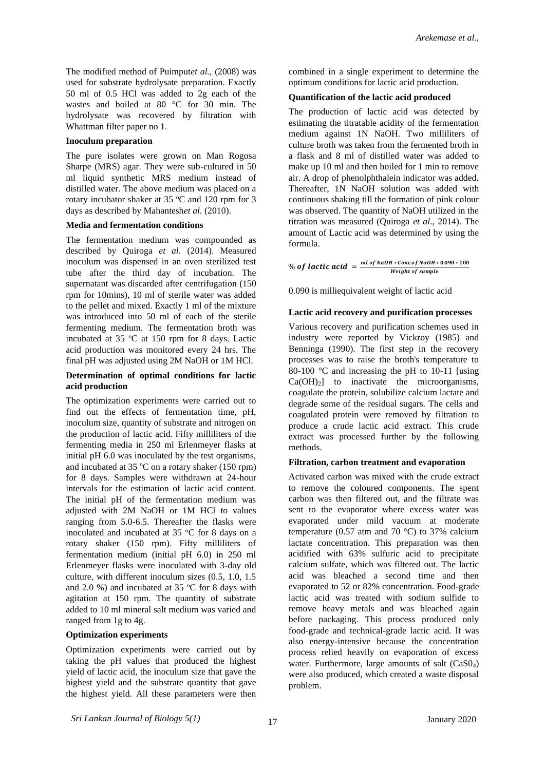The modified method of Puimput*et al.,* (2008) was used for substrate hydrolysate preparation. Exactly 50 ml of 0.5 HCl was added to 2g each of the wastes and boiled at 80 °C for 30 min. The hydrolysate was recovered by filtration with Whattman filter paper no 1.

# **Inoculum preparation**

The pure isolates were grown on Man Rogosa Sharpe (MRS) agar. They were sub-cultured in 50 ml liquid synthetic MRS medium instead of distilled water. The above medium was placed on a rotary incubator shaker at  $35^{\circ}$ C and  $120$  rpm for 3 days as described by Mahantesh*et al.* (2010).

### **Media and fermentation conditions**

The fermentation medium was compounded as described by Quiroga *et al*. (2014). Measured inoculum was dispensed in an oven sterilized test tube after the third day of incubation. The supernatant was discarded after centrifugation (150 rpm for 10mins), 10 ml of sterile water was added to the pellet and mixed. Exactly 1 ml of the mixture was introduced into 50 ml of each of the sterile fermenting medium. The fermentation broth was incubated at  $35 \text{ °C}$  at  $150 \text{ rpm}$  for 8 days. Lactic acid production was monitored every 24 hrs. The final pH was adjusted using 2M NaOH or 1M HCl.

## **Determination of optimal conditions for lactic acid production**

The optimization experiments were carried out to find out the effects of fermentation time, pH, inoculum size, quantity of substrate and nitrogen on the production of lactic acid. Fifty milliliters of the fermenting media in 250 ml Erlenmeyer flasks at initial pH 6.0 was inoculated by the test organisms, and incubated at 35  $\degree$ C on a rotary shaker (150 rpm) for 8 days. Samples were withdrawn at 24-hour intervals for the estimation of lactic acid content. The initial pH of the fermentation medium was adjusted with 2M NaOH or 1M HCl to values ranging from 5.0-6.5. Thereafter the flasks were inoculated and incubated at 35  $\degree$ C for 8 days on a rotary shaker (150 rpm). Fifty milliliters of fermentation medium (initial pH 6.0) in 250 ml Erlenmeyer flasks were inoculated with 3-day old culture, with different inoculum sizes (0.5, 1.0, 1.5 and 2.0 %) and incubated at 35  $^{\circ}$ C for 8 days with agitation at 150 rpm. The quantity of substrate added to 10 ml mineral salt medium was varied and ranged from 1g to 4g.

## **Optimization experiments**

Optimization experiments were carried out by taking the pH values that produced the highest yield of lactic acid, the inoculum size that gave the highest yield and the substrate quantity that gave the highest yield. All these parameters were then

combined in a single experiment to determine the optimum conditions for lactic acid production.

## **Quantification of the lactic acid produced**

The production of lactic acid was detected by estimating the titratable acidity of the fermentation medium against 1N NaOH. Two milliliters of culture broth was taken from the fermented broth in a flask and 8 ml of distilled water was added to make up 10 ml and then boiled for 1 min to remove air. A drop of phenolphthalein indicator was added. Thereafter, 1N NaOH solution was added with continuous shaking till the formation of pink colour was observed. The quantity of NaOH utilized in the titration was measured (Quiroga *et al*., 2014). The amount of Lactic acid was determined by using the formula.

% of lactic acid  $=\frac{ml \text{ of } NaOH * Concof NaOH * 0.090 * 100}{M \cdot 1.14 \cdot 1.6 \cdot 1.001 * 1.00 \cdot 1.000 * 1.000 * 1.000 * 1.000 * 1.000 * 1.000 * 1.000 * 1.000 * 1.000 * 1.000 * 1.000 * 1.000 * 1.000 * 1.000 * 1.000 * 1.000 * 1.000 * 1.000 * 1.000 * 1.000 * 1.$ Weight of sample

0.090 is milliequivalent weight of lactic acid

## **Lactic acid recovery and purification processes**

Various recovery and purification schemes used in industry were reported by Vickroy (1985) and Benninga (1990). The first step in the recovery processes was to raise the broth's temperature to 80-100 °C and increasing the pH to 10-11 [using  $Ca(OH)<sub>2</sub>$  to inactivate the microorganisms, coagulate the protein, solubilize calcium lactate and degrade some of the residual sugars. The cells and coagulated protein were removed by filtration to produce a crude lactic acid extract. This crude extract was processed further by the following methods.

#### **Filtration, carbon treatment and evaporation**

Activated carbon was mixed with the crude extract to remove the coloured components. The spent carbon was then filtered out, and the filtrate was sent to the evaporator where excess water was evaporated under mild vacuum at moderate temperature (0.57 atm and 70  $^{\circ}$ C) to 37% calcium lactate concentration. This preparation was then acidified with 63% sulfuric acid to precipitate calcium sulfate, which was filtered out. The lactic acid was bleached a second time and then evaporated to 52 or 82% concentration. Food-grade lactic acid was treated with sodium sulfide to remove heavy metals and was bleached again before packaging. This process produced only food-grade and technical-grade lactic acid. It was also energy-intensive because the concentration process relied heavily on evaporation of excess water. Furthermore, large amounts of salt (CaS0<sub>4</sub>) were also produced, which created a waste disposal problem.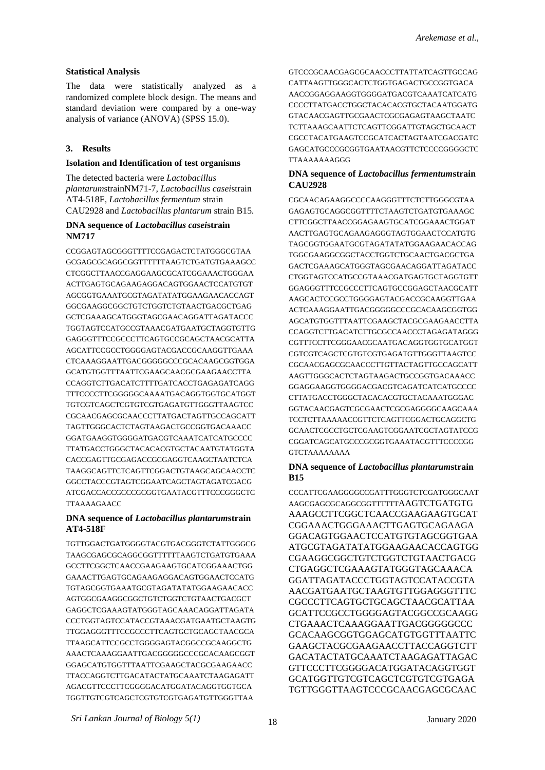## **Statistical Analysis**

The data were statistically analyzed as a randomized complete block design. The means and standard deviation were compared by a one-way analysis of variance (ANOVA) (SPSS 15.0).

# **3. Results**

### **Isolation and Identification of test organisms**

The detected bacteria were *Lactobacillus plantarum*strainNM71-7*, Lactobacillus casei*strain AT4-518F*, Lactobacillus fermentum* strain CAU2928 and *Lactobacillus plantarum* strain B15*.*

## **DNA sequence of** *Lactobacillus casei***strain NM717**

CCGGAGTAGCGGGTTTTCCGAGACTCTATGGGCGTAA GCGAGCGCAGGCGGTTTTTTAAGTCTGATGTGAAAGCC CTCGGCTTAACCGAGGAAGCGCATCGGAAACTGGGAA ACTTGAGTGCAGAAGAGGACAGTGGAACTCCATGTGT AGCGGTGAAATGCGTAGATATATGGAAGAACACCAGT GGCGAAGGCGGCTGTCTGGTCTGTAACTGACGCTGAG GCTCGAAAGCATGGGTAGCGAACAGGATTAGATACCC TGGTAGTCCATGCCGTAAACGATGAATGCTAGGTGTTG GAGGGTTTCCGCCCTTCAGTGCCGCAGCTAACGCATTA AGCATTCCGCCTGGGGAGTACGACCGCAAGGTTGAAA CTCAAAGGAATTGACGGGGGCCCGCACAAGCGGTGGA GCATGTGGTTTAATTCGAAGCAACGCGAAGAACCTTA CCAGGTCTTGACATCTTTTGATCACCTGAGAGATCAGG TTTCCCCTTCGGGGGCAAAATGACAGGTGGTGCATGGT TGTCGTCAGCTCGTGTCGTGAGATGTTGGGTTAAGTCC CGCAACGAGCGCAACCCTTATGACTAGTTGCCAGCATT TAGTTGGGCACTCTAGTAAGACTGCCGGTGACAAACC GGATGAAGGTGGGGATGACGTCAAATCATCATGCCCC TTATGACCTGGGCTACACACGTGCTACAATGTATGGTA CACCGAGTTGCGAGACCGCGAGGTCAAGCTAATCTCA TAAGGCAGTTCTCAGTTCGGACTGTAAGCAGCAACCTC GGCCTACCCGTAGTCGGAATCAGCTAGTAGATCGACG ATCGACCACCGCCCGCGGTGAATACGTTTCCCGGGCTC TTAAAAGAACC

# **DNA sequence of** *Lactobacillus plantarum***strain AT4-518F**

TGTTGGACTGATGGGGTACGTGACGGGTCTATTGGGCG TAAGCGAGCGCAGGCGGTTTTTTAAGTCTGATGTGAAA GCCTTCGGCTCAACCGAAGAAGTGCATCGGAAACTGG GAAACTTGAGTGCAGAAGAGGACAGTGGAACTCCATG TGTAGCGGTGAAATGCGTAGATATATGGAAGAACACC AGTGGCGAAGGCGGCTGTCTGGTCTGTAACTGACGCT GAGGCTCGAAAGTATGGGTAGCAAACAGGATTAGATA CCCTGGTAGTCCATACCGTAAACGATGAATGCTAAGTG TTGGAGGGTTTCCGCCCTTCAGTGCTGCAGCTAACGCA TTAAGCATTCCGCCTGGGGAGTACGGCCGCAAGGCTG AAACTCAAAGGAATTGACGGGGGCCCGCACAAGCGGT GGAGCATGTGGTTTAATTCGAAGCTACGCGAAGAACC TTACCAGGTCTTGACATACTATGCAAATCTAAGAGATT AGACGTTCCCTTCGGGGACATGGATACAGGTGGTGCA TGGTTGTCGTCAGCTCGTGTCGTGAGATGTTGGGTTAA

GTCCCGCAACGAGCGCAACCCTTATTATCAGTTGCCAG CATTAAGTTGGGCACTCTGGTGAGACTGCCGGTGACA AACCGGAGGAAGGTGGGGATGACGTCAAATCATCATG CCCCTTATGACCTGGCTACACACGTGCTACAATGGATG GTACAACGAGTTGCGAACTCGCGAGAGTAAGCTAATC TCTTAAAGCAATTCTCAGTTCGGATTGTAGCTGCAACT CGCCTACATGAAGTCCGCATCACTAGTAATCGACGATC GAGCATGCCCGCGGTGAATAACGTTCTCCCCGGGGCTC TTAAAAAAAGGG

## **DNA sequence of** *Lactobacillus fermentum***strain CAU2928**

CGCAACAGAAGGCCCCAAGGGTTTCTCTTGGGCGTAA GAGAGTGCAGGCGGTTTTCTAAGTCTGATGTGAAAGC CTTCGGCTTAACCGGAGAAGTGCATCGGAAACTGGAT AACTTGAGTGCAGAAGAGGGTAGTGGAACTCCATGTG TAGCGGTGGAATGCGTAGATATATGGAAGAACACCAG TGGCGAAGGCGGCTACCTGGTCTGCAACTGACGCTGA GACTCGAAAGCATGGGTAGCGAACAGGATTAGATACC CTGGTAGTCCATGCCGTAAACGATGAGTGCTAGGTGTT GGAGGGTTTCCGCCCTTCAGTGCCGGAGCTAACGCATT AAGCACTCCGCCTGGGGAGTACGACCGCAAGGTTGAA ACTCAAAGGAATTGACGGGGGCCCGCACAAGCGGTGG AGCATGTGGTTTAATTCGAAGCTACGCGAAGAACCTTA CCAGGTCTTGACATCTTGCGCCAACCCTAGAGATAGGG CGTTTCCTTCGGGAACGCAATGACAGGTGGTGCATGGT CGTCGTCAGCTCGTGTCGTGAGATGTTGGGTTAAGTCC CGCAACGAGCGCAACCCTTGTTACTAGTTGCCAGCATT AAGTTGGGCACTCTAGTAAGACTGCCGGTGACAAACC GGAGGAAGGTGGGGACGACGTCAGATCATCATGCCCC CTTATGACCTGGGCTACACACGTGCTACAAATGGGAC GGTACAACGAGTCGCGAACTCGCGAGGGGCAAGCAAA TCCTCTTAAAAACCGTTCTCAGTTCGGACTGCAGGCTG GCAACTCGCCTGCTCGAAGTCGGAATCGCTAGTATCCG CGGATCAGCATGCCCGCGGTGAAATACGTTTCCCCGG GTCTAAAAAAAA

## **DNA sequence of** *Lactobacillus plantarum***strain B15**

CCCATTCGAAGGGGCCGATTTGGGTCTCGATGGGCAAT AAGCGAGCGCAGGCGGTTTTTTAAGTCTGATGTG AAAGCCTTCGGCTCAACCGAAGAAGTGCAT CGGAAACTGGGAAACTTGAGTGCAGAAGA GGACAGTGGAACTCCATGTGTAGCGGTGAA ATGCGTAGATATATGGAAGAACACCAGTGG CGAAGGCGGCTGTCTGGTCTGTAACTGACG CTGAGGCTCGAAAGTATGGGTAGCAAACA GGATTAGATACCCTGGTAGTCCATACCGTA AACGATGAATGCTAAGTGTTGGAGGGTTTC CGCCCTTCAGTGCTGCAGCTAACGCATTAA GCATTCCGCCTGGGGAGTACGGCCGCAAGG CTGAAACTCAAAGGAATTGACGGGGGCCC GCACAAGCGGTGGAGCATGTGGTTTAATTC GAAGCTACGCGAAGAACCTTACCAGGTCTT GACATACTATGCAAATCTAAGAGATTAGAC GTTCCCTTCGGGGACATGGATACAGGTGGT GCATGGTTGTCGTCAGCTCGTGTCGTGAGA TGTTGGGTTAAGTCCCGCAACGAGCGCAAC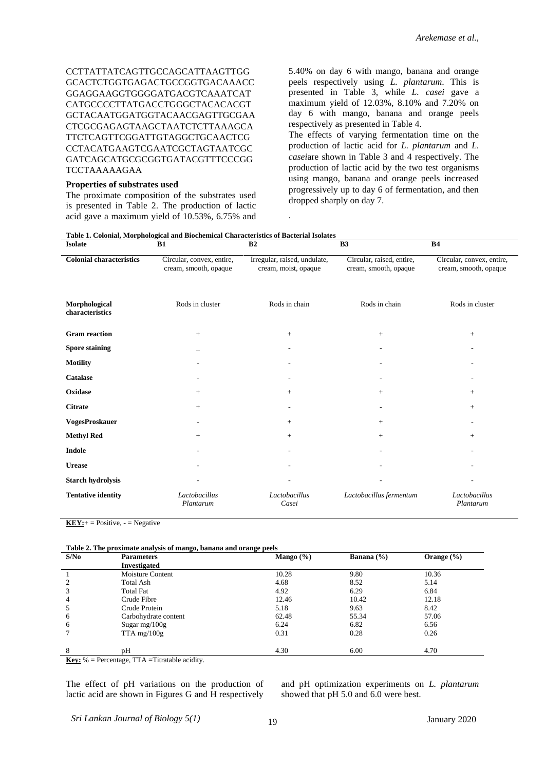CCTTATTATCAGTTGCCAGCATTAAGTTGG GCACTCTGGTGAGACTGCCGGTGACAAACC GGAGGAAGGTGGGGATGACGTCAAATCAT CATGCCCCTTATGACCTGGGCTACACACGT GCTACAATGGATGGTACAACGAGTTGCGAA CTCGCGAGAGTAAGCTAATCTCTTAAAGCA TTCTCAGTTCGGATTGTAGGCTGCAACTCG CCTACATGAAGTCGAATCGCTAGTAATCGC GATCAGCATGCGCGGTGATACGTTTCCCGG TCCTAAAAAGAA

#### **Properties of substrates used**

The proximate composition of the substrates used is presented in Table 2. The production of lactic acid gave a maximum yield of 10.53%, 6.75% and 5.40% on day 6 with mango, banana and orange peels respectively using *L. plantarum*. This is presented in Table 3, while *L. casei* gave a maximum yield of 12.03%, 8.10% and 7.20% on day 6 with mango, banana and orange peels respectively as presented in Table 4.

The effects of varying fermentation time on the production of lactic acid for *L. plantarum* and *L. casei*are shown in Table 3 and 4 respectively. The production of lactic acid by the two test organisms using mango, banana and orange peels increased progressively up to day 6 of fermentation, and then dropped sharply on day 7.

#### **Table 1. Colonial, Morphological and Biochemical Characteristics of Bacterial Isolates**

| <b>Isolate</b>                   | <b>B1</b>                                          | B <sub>2</sub>                                       | B <sub>3</sub>                                     | <b>B4</b>                                          |
|----------------------------------|----------------------------------------------------|------------------------------------------------------|----------------------------------------------------|----------------------------------------------------|
| <b>Colonial characteristics</b>  | Circular, convex, entire,<br>cream, smooth, opaque | Irregular, raised, undulate,<br>cream, moist, opaque | Circular, raised, entire,<br>cream, smooth, opaque | Circular, convex, entire,<br>cream, smooth, opaque |
| Morphological<br>characteristics | Rods in cluster                                    | Rods in chain                                        | Rods in chain                                      | Rods in cluster                                    |
| <b>Gram</b> reaction             | $+$                                                | $^{+}$                                               | $+$                                                | $^{+}$                                             |
| <b>Spore staining</b>            |                                                    |                                                      |                                                    |                                                    |
| <b>Motility</b>                  |                                                    |                                                      |                                                    |                                                    |
| <b>Catalase</b>                  |                                                    | ٠                                                    |                                                    |                                                    |
| Oxidase                          | $+$                                                | $^{+}$                                               | $^{+}$                                             | $^{+}$                                             |
| <b>Citrate</b>                   | $+$                                                |                                                      |                                                    | $+$                                                |
| <b>VogesProskauer</b>            |                                                    | $+$                                                  | $^{+}$                                             |                                                    |
| <b>Methyl Red</b>                | $+$                                                | $^{+}$                                               | $^{+}$                                             | $^{+}$                                             |
| <b>Indole</b>                    |                                                    |                                                      |                                                    |                                                    |
| <b>Urease</b>                    |                                                    |                                                      |                                                    |                                                    |
| Starch hydrolysis                |                                                    |                                                      |                                                    |                                                    |
| <b>Tentative identity</b>        | Lactobacillus<br>Plantarum                         | Lactobacillus<br>Casei                               | Lactobacillus fermentum                            | Lactobacillus<br>Plantarum                         |

.

 $KEY:+= Positive, - = Negative$ 

| Table 2. The proximate analysis of mango, banana and orange peels |  |
|-------------------------------------------------------------------|--|
|                                                                   |  |

| S/N <sub>0</sub> | <b>Parameters</b>       | Mango $(\% )$ | Banana $(\% )$ | Orange $(\% )$ |
|------------------|-------------------------|---------------|----------------|----------------|
|                  | <b>Investigated</b>     |               |                |                |
|                  | <b>Moisture Content</b> | 10.28         | 9.80           | 10.36          |
| $\mathcal{L}$    | Total Ash               | 4.68          | 8.52           | 5.14           |
| 3                | <b>Total Fat</b>        | 4.92          | 6.29           | 6.84           |
| 4                | Crude Fibre             | 12.46         | 10.42          | 12.18          |
|                  | Crude Protein           | 5.18          | 9.63           | 8.42           |
| 6                | Carbohydrate content    | 62.48         | 55.34          | 57.06          |
| 6                | Sugar $mg/100g$         | 6.24          | 6.82           | 6.56           |
|                  | $TTA$ mg/ $100g$        | 0.31          | 0.28           | 0.26           |
|                  |                         |               |                |                |
| 8                | pH                      | 4.30          | 6.00           | 4.70           |

**Key:** % = Percentage, TTA =Titratable acidity.

The effect of pH variations on the production of lactic acid are shown in Figures G and H respectively

and pH optimization experiments on *L. plantarum*  showed that pH 5.0 and 6.0 were best.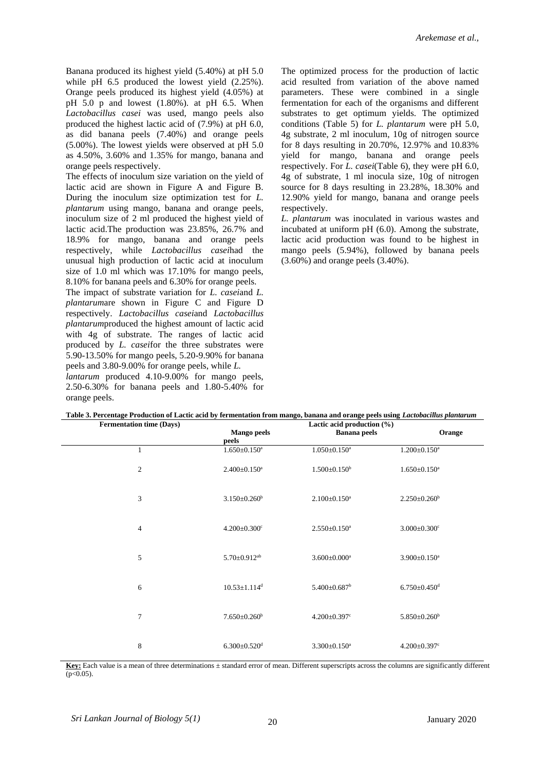Banana produced its highest yield (5.40%) at pH 5.0 while pH 6.5 produced the lowest yield (2.25%). Orange peels produced its highest yield (4.05%) at pH 5.0 p and lowest (1.80%). at pH 6.5. When *Lactobacillus casei* was used, mango peels also produced the highest lactic acid of (7.9%) at pH 6.0, as did banana peels (7.40%) and orange peels (5.00%). The lowest yields were observed at pH 5.0 as 4.50%, 3.60% and 1.35% for mango, banana and orange peels respectively.

The effects of inoculum size variation on the yield of lactic acid are shown in Figure A and Figure B. During the inoculum size optimization test for *L. plantarum* using mango, banana and orange peels, inoculum size of 2 ml produced the highest yield of lactic acid.The production was 23.85%, 26.7% and 18.9% for mango, banana and orange peels respectively, while *Lactobacillus casei*had the unusual high production of lactic acid at inoculum size of 1.0 ml which was 17.10% for mango peels, 8.10% for banana peels and 6.30% for orange peels.

The impact of substrate variation for *L. casei*and *L. plantarum*are shown in Figure C and Figure D respectively. *Lactobacillus casei*and *Lactobacillus plantarum*produced the highest amount of lactic acid with 4g of substrate. The ranges of lactic acid produced by *L. casei*for the three substrates were 5.90-13.50% for mango peels, 5.20-9.90% for banana peels and 3.80-9.00% for orange peels, while *L.* 

*lantarum* produced 4.10-9.00% for mango peels, 2.50-6.30% for banana peels and 1.80-5.40% for orange peels.

The optimized process for the production of lactic acid resulted from variation of the above named parameters. These were combined in a single fermentation for each of the organisms and different substrates to get optimum yields. The optimized conditions (Table 5) for *L. plantarum* were pH 5.0, 4g substrate, 2 ml inoculum, 10g of nitrogen source for 8 days resulting in 20.70%, 12.97% and 10.83% yield for mango, banana and orange peels respectively. For *L. casei*(Table 6), they were pH 6.0, 4g of substrate, 1 ml inocula size, 10g of nitrogen source for 8 days resulting in 23.28%, 18.30% and 12.90% yield for mango, banana and orange peels respectively.

*L. plantarum* was inoculated in various wastes and incubated at uniform pH (6.0). Among the substrate, lactic acid production was found to be highest in mango peels (5.94%), followed by banana peels (3.60%) and orange peels (3.40%).

| <b>Fermentation time (Days)</b> | таже эл сессинаде і годисими от басис асій бу тегиненцами и оні шандо, банана ани оганде ресіз изнід <i>басибойсних рин</i> ив <i>ин</i><br>Lactic acid production (%) |                                |                                |
|---------------------------------|------------------------------------------------------------------------------------------------------------------------------------------------------------------------|--------------------------------|--------------------------------|
|                                 | <b>Mango peels</b>                                                                                                                                                     | <b>Banana</b> peels            | Orange                         |
|                                 | peels                                                                                                                                                                  |                                |                                |
| 1                               | $1.650 \pm 0.150^a$                                                                                                                                                    | $1.050 \pm 0.150$ <sup>a</sup> | $1.200 \pm 0.150$ <sup>a</sup> |
| $\overline{2}$                  | $2.400 \pm 0.150$ <sup>a</sup>                                                                                                                                         | $1.500 \pm 0.150^b$            | $1.650 \pm 0.150^a$            |
| 3                               | $3.150 \pm 0.260^b$                                                                                                                                                    | $2.100 \pm 0.150$ <sup>a</sup> | $2.250 \pm 0.260^b$            |
| $\overline{4}$                  | $4.200 \pm 0.300$ <sup>c</sup>                                                                                                                                         | $2.550 \pm 0.150^a$            | $3.000 \pm 0.300$ <sup>c</sup> |
| 5                               | $5.70 \pm 0.912$ <sup>ab</sup>                                                                                                                                         | $3.600 \pm 0.000$ <sup>a</sup> | $3.900 \pm 0.150$ <sup>a</sup> |
| 6                               | $10.53 \pm 1.114$ <sup>d</sup>                                                                                                                                         | $5.400 \pm 0.687$ <sup>b</sup> | $6.750 \pm 0.450$ <sup>d</sup> |
| 7                               | $7.650\pm0.260^b$                                                                                                                                                      | $4.200 \pm 0.397$ <sup>c</sup> | $5.850 \pm 0.260^{\rm b}$      |
| 8                               | $6.300 \pm 0.520$ <sup>d</sup>                                                                                                                                         | $3.300 \pm 0.150$ <sup>a</sup> | $4.200 \pm 0.397$ °            |

**Table 3. Percentage Production of Lactic acid by fermentation from mango, banana and orange peels using** *Lactobacillus plantarum*

**Key:** Each value is a mean of three determinations ± standard error of mean. Different superscripts across the columns are significantly different  $(p<0.05)$ .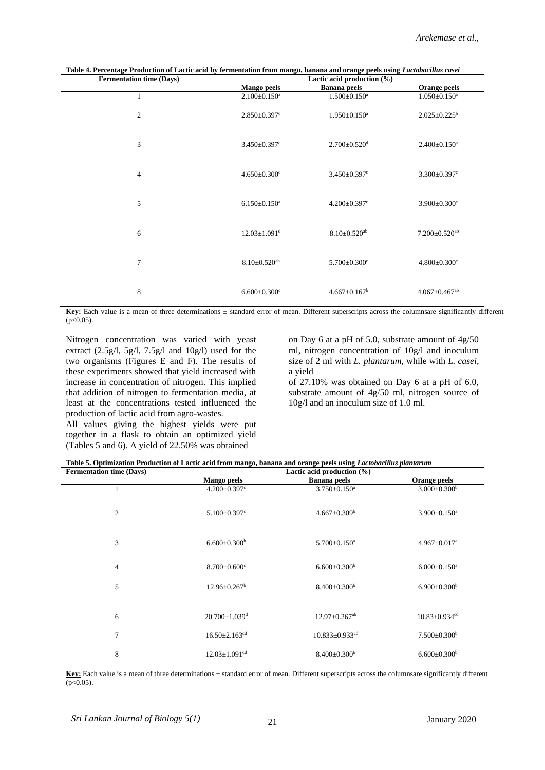| <b>Fermentation time (Days)</b> | Lactic acid production (%)     |                                |                                 |  |
|---------------------------------|--------------------------------|--------------------------------|---------------------------------|--|
|                                 | <b>Mango peels</b>             | <b>Banana</b> peels            | Orange peels                    |  |
| 1                               | $2.100 \pm 0.150$ <sup>a</sup> | $1.500 \pm 0.150$ <sup>a</sup> | $1.050 \pm 0.150$ <sup>a</sup>  |  |
| $\overline{c}$                  | $2.850 \pm 0.397$ <sup>c</sup> | $1.950 \pm 0.150^a$            | $2.025 \pm 0.225^b$             |  |
| 3                               | $3.450 \pm 0.397$ <sup>c</sup> | $2.700 \pm 0.520$ <sup>d</sup> | $2.400 \pm 0.150$ <sup>a</sup>  |  |
| $\overline{4}$                  | $4.650 \pm 0.300$ <sup>c</sup> | $3.450 \pm 0.397$ <sup>c</sup> | $3.300 \pm 0.397$ <sup>c</sup>  |  |
| 5                               | $6.150 \pm 0.150^a$            | $4.200 \pm 0.397$ <sup>c</sup> | $3.900 \pm 0.300$ <sup>c</sup>  |  |
| 6                               | $12.03 \pm 1.091$ <sup>d</sup> | $8.10 \pm 0.520$ <sup>ab</sup> | $7.200 \pm 0.520$ <sup>ab</sup> |  |
| $\overline{7}$                  | $8.10 \pm 0.520$ <sup>ab</sup> | $5.700 \pm 0.300$ <sup>c</sup> | $4.800 \pm 0.300$ <sup>c</sup>  |  |
| 8                               | $6.600 \pm 0.300$ <sup>c</sup> | $4.667 \pm 0.167^b$            | $4.067 \pm 0.467$ <sup>ab</sup> |  |

**Table 4. Percentage Production of Lactic acid by fermentation from mango, banana and orange peels using** *Lactobacillus casei*

**Key:** Each value is a mean of three determinations ± standard error of mean. Different superscripts across the columnsare significantly different  $(p<0.05)$ .

Nitrogen concentration was varied with yeast extract (2.5g/l, 5g/l, 7.5g/l and 10g/l) used for the two organisms (Figures E and F). The results of these experiments showed that yield increased with increase in concentration of nitrogen. This implied that addition of nitrogen to fermentation media, at least at the concentrations tested influenced the production of lactic acid from agro-wastes.

All values giving the highest yields were put together in a flask to obtain an optimized yield (Tables 5 and 6). A yield of 22.50% was obtained

on Day 6 at a pH of 5.0, substrate amount of 4g/50 ml, nitrogen concentration of 10g/l and inoculum size of 2 ml with *L. plantarum,* while with *L. casei,*  a yield

of 27.10% was obtained on Day 6 at a pH of 6.0, substrate amount of 4g/50 ml, nitrogen source of 10g/l and an inoculum size of 1.0 ml.

|  |  | Table 5. Optimization Production of Lactic acid from mango, banana and orange peels using Lactobacillus plantarum |  |  |  |
|--|--|-------------------------------------------------------------------------------------------------------------------|--|--|--|
|  |  |                                                                                                                   |  |  |  |

| <b>Fermentation time (Days)</b> | Lactic acid production (%)      |                                  |                                 |  |  |  |
|---------------------------------|---------------------------------|----------------------------------|---------------------------------|--|--|--|
|                                 | <b>Mango peels</b>              | <b>Banana</b> peels              | Orange peels                    |  |  |  |
| 1                               | $4.200 \pm 0.397$ <sup>c</sup>  | $3.750 \pm 0.150$ <sup>a</sup>   | $3.000 \pm 0.300^b$             |  |  |  |
| 2                               | $5.100 \pm 0.397$ <sup>c</sup>  | $4.667 \pm 0.309^{\rm b}$        | $3.900 \pm 0.150$ <sup>a</sup>  |  |  |  |
| 3                               | $6.600 \pm 0.300^b$             | $5.700 \pm 0.150$ <sup>a</sup>   | $4.967 \pm 0.017$ <sup>a</sup>  |  |  |  |
| $\overline{4}$                  | $8.700 \pm 0.600$ <sup>c</sup>  | $6.600 \pm 0.300^b$              | $6.000 \pm 0.150$ <sup>a</sup>  |  |  |  |
| 5                               | $12.96 \pm 0.267^{\rm b}$       | $8.400 \pm 0.300^b$              | $6.900 \pm 0.300^{\rm b}$       |  |  |  |
|                                 |                                 |                                  |                                 |  |  |  |
| 6                               | $20.700 \pm 1.039$ <sup>d</sup> | $12.97 \pm 0.267$ <sup>ab</sup>  | $10.83 \pm 0.934$ <sup>cd</sup> |  |  |  |
| $\overline{7}$                  | $16.50 \pm 2.163$ <sup>cd</sup> | $10.833 \pm 0.933$ <sup>cd</sup> | $7.500 \pm 0.300^{\mathrm{b}}$  |  |  |  |
| 8                               | $12.03 \pm 1.091$ <sup>cd</sup> | $8.400 \pm 0.300^b$              | $6.600 \pm 0.300^b$             |  |  |  |

Key: Each value is a mean of three determinations  $\pm$  standard error of mean. Different superscripts across the columnsare significantly different  $(p<0.05)$ .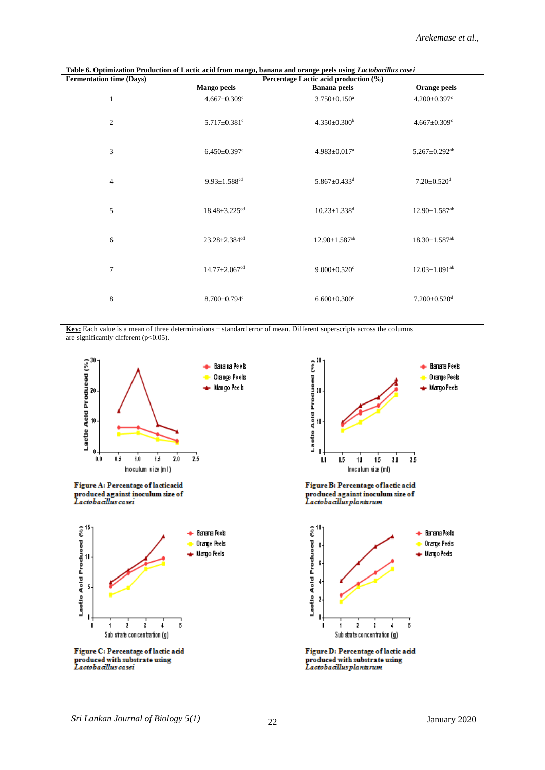| <b>Fermentation time (Days)</b> | Percentage Lactic acid production (%) |                                 |                                 |  |  |
|---------------------------------|---------------------------------------|---------------------------------|---------------------------------|--|--|
|                                 | <b>Mango peels</b>                    | <b>Banana</b> peels             | Orange peels                    |  |  |
| 1                               | $4.667 \pm 0.309$ <sup>c</sup>        | $3.750 \pm 0.150$ <sup>a</sup>  | $4.200 \pm 0.397$ <sup>c</sup>  |  |  |
| $\overline{2}$                  | $5.717 \pm 0.381$ <sup>c</sup>        | $4.350 \pm 0.300^b$             | $4.667 \pm 0.309$ <sup>c</sup>  |  |  |
| 3                               | $6.450 \pm 0.397$ c                   | 4.983±0.017 <sup>a</sup>        | $5.267 \pm 0.292$ <sup>ab</sup> |  |  |
| $\overline{4}$                  | $9.93 \pm 1.588^{cd}$                 | $5.867 \pm 0.433$ <sup>d</sup>  | $7.20 \pm 0.520$ <sup>d</sup>   |  |  |
| 5                               | $18.48 \pm 3.225$ <sup>cd</sup>       | $10.23 \pm 1.338$ <sup>d</sup>  | $12.90 \pm 1.587$ <sup>ab</sup> |  |  |
| 6                               | $23.28 \pm 2.384$ <sup>cd</sup>       | $12.90 \pm 1.587$ <sup>ab</sup> | $18.30 \pm 1.587$ <sup>ab</sup> |  |  |
| $\overline{7}$                  | $14.77 \pm 2.067$ <sup>cd</sup>       | $9.000 \pm 0.520$ <sup>c</sup>  | $12.03 \pm 1.091$ <sup>ab</sup> |  |  |
| 8                               | $8.700 \pm 0.794$ c                   | $6.600 \pm 0.300$ <sup>c</sup>  | $7.200 \pm 0.520$ <sup>d</sup>  |  |  |

**Table 6. Optimization Production of Lactic acid from mango, banana and orange peels using** *Lactobacillus casei*

**Key:** Each value is a mean of three determinations  $\pm$  standard error of mean. Different superscripts across the columns are significantly different ( $p$ <0.05).

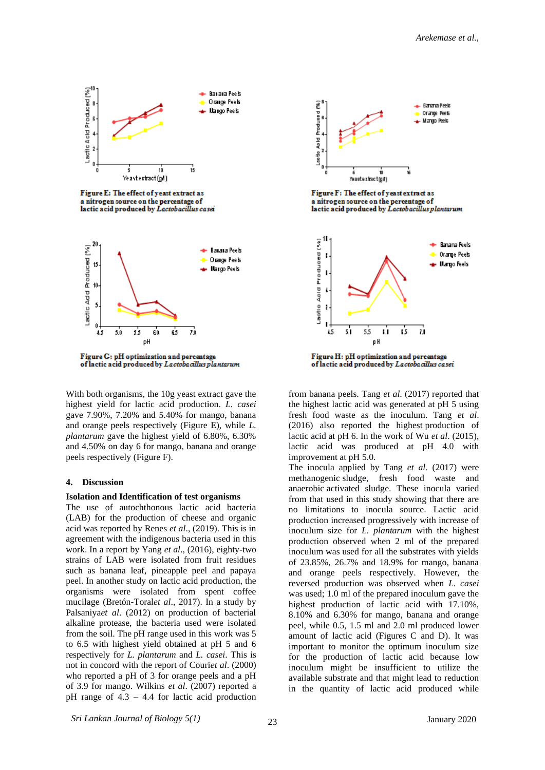

Figure E: The effect of yeast extract as a nitrogen source on the percentage of<br>lactic acid produced by Lactobacillus cases



Figure G: pH optimization and percentage of lactic acid produced by Lactobacillus plantarum

With both organisms, the 10g yeast extract gave the highest yield for lactic acid production. *L. casei* gave 7.90%, 7.20% and 5.40% for mango, banana and orange peels respectively (Figure E), while *L. plantarum* gave the highest yield of 6.80%, 6.30% and 4.50% on day 6 for mango, banana and orange peels respectively (Figure F).

#### **4. Discussion**

## **Isolation and Identification of test organisms**

The use of autochthonous lactic acid bacteria (LAB) for the production of cheese and organic acid was reported by Renes *et al*., (2019). This is in agreement with the indigenous bacteria used in this work. In a report by Yang *et al*., (2016), eighty-two strains of LAB were isolated from fruit residues such as banana leaf, pineapple peel and papaya peel. In another study on lactic acid production, the organisms were isolated from spent coffee mucilage (Bretón-Toral*et al*., 2017). In a study by Palsaniya*et al*. (2012) on production of bacterial alkaline protease, the bacteria used were isolated from the soil. The pH range used in this work was 5 to 6.5 with highest yield obtained at pH 5 and 6 respectively for *L. plantarum* and *L. casei*. This is not in concord with the report of Couri*et al*. (2000) who reported a pH of 3 for orange peels and a pH of 3.9 for mango. Wilkins *et al*. (2007) reported a pH range of  $4.3 - 4.4$  for lactic acid production



Figure F: The effect of yeast extract as a nitrogen source on the percentage of<br>lactic acid produced by Lactobacillus plantarum



of lactic acid produced by Lactobacillus casei

from banana peels. Tang *et al*. (2017) reported that the highest lactic acid was generated at pH 5 using fresh food waste as the inoculum. Tang *et al*. (2016) also reported the highest production of [lactic acid](https://www.sciencedirect.com/topics/earth-and-planetary-sciences/lactic-acid) at pH 6. In the work of Wu *et al*. (2015), lactic acid was produced at pH 4.0 with improvement at pH 5.0.

The inocula applied by Tang *et al*. (2017) were methanogenic [sludge,](https://www.sciencedirect.com/topics/earth-and-planetary-sciences/sludge) fresh food waste and anaerobic [activated sludge.](https://www.sciencedirect.com/topics/earth-and-planetary-sciences/activated-sludge) These inocula varied from that used in this study showing that there are no limitations to inocula source. Lactic acid production increased progressively with increase of inoculum size for *L. plantarum* with the highest production observed when 2 ml of the prepared inoculum was used for all the substrates with yields of 23.85%, 26.7% and 18.9% for mango, banana and orange peels respectively. However, the reversed production was observed when *L. casei* was used; 1.0 ml of the prepared inoculum gave the highest production of lactic acid with 17.10%, 8.10% and 6.30% for mango, banana and orange peel, while 0.5, 1.5 ml and 2.0 ml produced lower amount of lactic acid (Figures C and D). It was important to monitor the optimum inoculum size for the production of lactic acid because low inoculum might be insufficient to utilize the available substrate and that might lead to reduction in the quantity of lactic acid produced while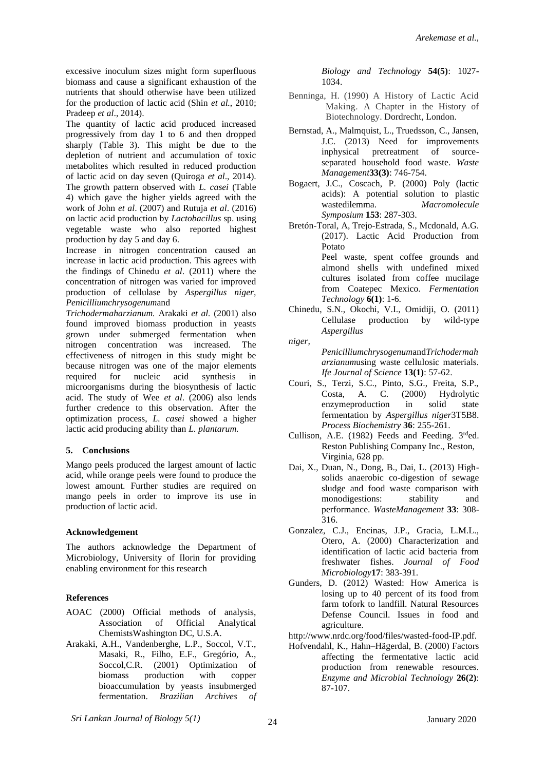excessive inoculum sizes might form superfluous biomass and cause a significant exhaustion of the nutrients that should otherwise have been utilized for the production of lactic acid (Shin *et al.*, 2010; Pradeep *et al*., 2014).

The quantity of lactic acid produced increased progressively from day 1 to 6 and then dropped sharply (Table 3). This might be due to the depletion of nutrient and accumulation of toxic metabolites which resulted in reduced production of lactic acid on day seven (Quiroga *et al*., 2014). The growth pattern observed with *L. casei* (Table 4) which gave the higher yields agreed with the work of John *et al*. (2007) and Rutuja *et al*. (2016) on lactic acid production by *Lactobacillus* sp. using vegetable waste who also reported highest production by day 5 and day 6.

Increase in nitrogen concentration caused an increase in lactic acid production. This agrees with the findings of Chinedu *et al*. (2011) where the concentration of nitrogen was varied for improved production of cellulase by *Aspergillus niger, Penicilliumchrysogenum*and

*Trichodermaharzianum.* Arakaki *et al.* (2001) also found improved biomass production in yeasts grown under submerged fermentation when nitrogen concentration was increased. The effectiveness of nitrogen in this study might be because nitrogen was one of the major elements required for nucleic acid synthesis in microorganisms during the biosynthesis of lactic acid. The study of Wee *et al*. (2006) also lends further credence to this observation. After the optimization process, *L. casei* showed a higher lactic acid producing ability than *L. plantarum.*

## **5. Conclusions**

Mango peels produced the largest amount of lactic acid, while orange peels were found to produce the lowest amount. Further studies are required on mango peels in order to improve its use in production of lactic acid.

#### **Acknowledgement**

The authors acknowledge the Department of Microbiology, University of Ilorin for providing enabling environment for this research

## **References**

- AOAC (2000) Official methods of analysis, Association of Official Analytical ChemistsWashington DC, U.S.A.
- Arakaki, A.H., Vandenberghe, L.P., Soccol, V.T., Masaki, R., Filho, E.F., Gregório, A., Soccol, C.R. (2001) Optimization of biomass production with copper bioaccumulation by yeasts insubmerged fermentation. *Brazilian Archives of*

*Biology and Technology* **54(5)**: 1027- 1034.

- Benninga, H. (1990) A History of Lactic Acid Making. A Chapter in the History of Biotechnology. Dordrecht, London.
- Bernstad, A., Malmquist, L., Truedsson, C., Jansen, J.C. (2013) Need for improvements inphysical pretreatment of sourceseparated household food waste. *Waste Management***33(3)**: 746-754.
- Bogaert, J.C., Coscach, P. (2000) Poly (lactic acids): A potential solution to plastic wastedilemma. *Macromolecule Symposium* **153**: 287-303.
- Bretón-Toral, A, Trejo-Estrada, S., Mcdonald, A.G. (2017). Lactic Acid Production from Potato Peel waste, spent coffee grounds and almond shells with undefined mixed cultures isolated from coffee mucilage from Coatepec Mexico. *Fermentation Technology* **6(1)**: 1-6.
- Chinedu, S.N., Okochi, V.I., Omidiji, O. (2011) Cellulase production by wild-type *Aspergillus*

*niger,* 

*Penicilliumchrysogenum*and*Trichodermah arzianum*using waste cellulosic materials. *Ife Journal of Science* **13(1)**: 57-62.

- Couri, S., Terzi, S.C., Pinto, S.G., Freita, S.P., Costa, A. C. (2000) Hydrolytic enzymeproduction in solid state fermentation by *Aspergillus niger*3T5B8. *Process Biochemistry* **36**: 255-261.
- Cullison, A.E. (1982) Feeds and Feeding. 3rded. Reston Publishing Company Inc., Reston, Virginia, 628 pp.
- Dai, X., Duan, N., Dong, B., Dai, L. (2013) Highsolids anaerobic co-digestion of sewage sludge and food waste comparison with monodigestions: stability and performance. *WasteManagement* **33**: 308- 316.
- Gonzalez, C.J., Encinas, J.P., Gracia, L.M.L., Otero, A. (2000) Characterization and identification of lactic acid bacteria from freshwater fishes. *Journal of Food Microbiology***17**: 383-391.
- Gunders, D. (2012) Wasted: How America is losing up to 40 percent of its food from farm tofork to landfill. Natural Resources Defense Council. Issues in food and agriculture.
- [http://www.nrdc.org/food/files/wasted-food-IP.pdf.](http://www.nrdc.org/food/files/wasted-food-IP.pdf)
- Hofvendahl, K., Hahn–Hägerdal, B. (2000) Factors affecting the fermentative lactic acid production from renewable resources. *Enzyme and Microbial Technology* **26(2)**: 87-107.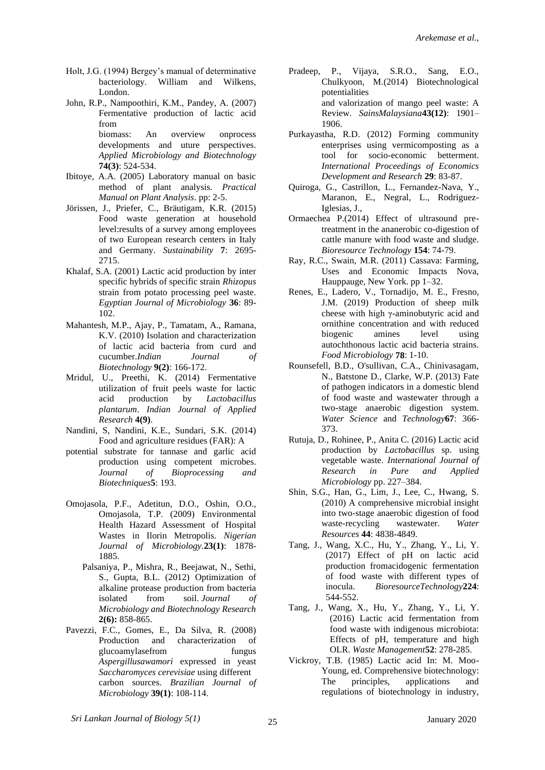- Holt, J.G. (1994) Bergey's manual of determinative bacteriology. William and Wilkens, London.
- John, R.P., Nampoothiri, K.M., Pandey, A. (2007) Fermentative production of lactic acid from biomass: An overview onprocess developments and uture perspectives. *Applied Microbiology and Biotechnology*  **74(3)**: 524-534.
- Ibitoye, A.A. (2005) Laboratory manual on basic method of plant analysis. *Practical Manual on Plant Analysis*. pp: 2-5.
- Jörissen, J., Priefer, C., Bräutigam, K.R. (2015) Food waste generation at household level:results of a survey among employees of two European research centers in Italy and Germany. *Sustainability* **7**: 2695- 2715.
- Khalaf, S.A. (2001) Lactic acid production by inter specific hybrids of specific strain *Rhizopus* strain from potato processing peel waste. *Egyptian Journal of Microbiology* **36**: 89- 102.
- Mahantesh, M.P., [Ajay, P.](https://www.researchgate.net/profile/Ajay_Pal?_sg=JrfxSPWRU3NPF2eRwZ5NMDDPCVBlItdCh4ZY5QPB2hGz7M8UdM9f0k4O32m78ohe4Yl_JYk.4VMjZ0OEmm__PbJc2dKdbKXYLE5eaY6g5LiwAY_K1ZZrzGIwgfHU9L0FJ4WUdV9-1IlHXhYtIN2SjJFxEu4InA), [Tamatam, A.](https://www.researchgate.net/profile/Tamatam_Anand?_sg=JrfxSPWRU3NPF2eRwZ5NMDDPCVBlItdCh4ZY5QPB2hGz7M8UdM9f0k4O32m78ohe4Yl_JYk.4VMjZ0OEmm__PbJc2dKdbKXYLE5eaY6g5LiwAY_K1ZZrzGIwgfHU9L0FJ4WUdV9-1IlHXhYtIN2SjJFxEu4InA), [Ramana,](https://www.researchgate.net/scientific-contributions/64662230_Karna_Venkata_Ramana?_sg=JrfxSPWRU3NPF2eRwZ5NMDDPCVBlItdCh4ZY5QPB2hGz7M8UdM9f0k4O32m78ohe4Yl_JYk.4VMjZ0OEmm__PbJc2dKdbKXYLE5eaY6g5LiwAY_K1ZZrzGIwgfHU9L0FJ4WUdV9-1IlHXhYtIN2SjJFxEu4InA) K.V. (2010) Isolation and characterization of lactic acid bacteria from curd and cucumber.*Indian Journal of Biotechnology* **9(2)**: 166-172.
- Mridul, U., Preethi, K. (2014) Fermentative utilization of fruit peels waste for lactic acid production by *Lactobacillus plantarum*. *Indian Journal of Applied Research* **4(9)**.
- Nandini, S, Nandini, K.E., Sundari, S.K. (2014) Food and agriculture residues (FAR): A
- potential substrate for tannase and garlic acid production using competent microbes. *Journal of Bioprocessing and Biotechniques***5**: 193.
- Omojasola, P.F., Adetitun, D.O., Oshin, O.O., Omojasola, T.P. (2009) Environmental Health Hazard Assessment of Hospital Wastes in Ilorin Metropolis. *Nigerian Journal of Microbiology.***23(1)**: 1878- 1885.
	- Palsaniya, P., Mishra, R., Beejawat, N., Sethi, S., Gupta, B.L. (2012) Optimization of alkaline protease production from bacteria isolated from soil. *Journal of Microbiology and Biotechnology Research*  **2(6):** 858-865.
- Pavezzi, F.C., Gomes, E., Da Silva, R. (2008) Production and characterization of glucoamylasefrom fungus *Aspergillusawamori* expressed in yeast *Saccharomyces cerevisiae* using different carbon sources. *Brazilian Journal of Microbiology* **39(1)**: 108-114.
- Pradeep, P., Vijaya, S.R.O., Sang, E.O., Chulkyoon, M.(2014) Biotechnological potentialities and valorization of mango peel waste: A Review. *SainsMalaysiana***43(12)**: 1901– 1906.
- Purkayastha, R.D. (2012) Forming community enterprises using vermicomposting as a tool for socio-economic betterment. *International Proceedings of Economics Development and Research* **29**: 83-87.
- Quiroga, G., Castrillon, L., Fernandez-Nava, Y., Maranon, E., Negral, L., Rodriguez-Iglesias, J.,
- Ormaechea P.(2014) Effect of ultrasound pretreatment in the ananerobic co-digestion of cattle manure with food waste and sludge. *Bioresource Technology* **154**: 74-79.
- Ray, R.C., Swain, M.R. (2011) Cassava: Farming, Uses and Economic Impacts Nova, Hauppauge, New York. pp 1–32.
- [Renes,](https://www.sciencedirect.com/science/article/pii/S0740002018303496#!) E., [Ladero,](https://www.sciencedirect.com/science/article/pii/S0740002018303496#!) V., [Tornadijo,](https://www.sciencedirect.com/science/article/pii/S0740002018303496#!) M. E., [Fresno,](https://www.sciencedirect.com/science/article/pii/S0740002018303496#!) J.M. (2019) Production of sheep milk cheese with high γ-aminobutyric acid and ornithine concentration and with reduced biogenic amines level using autochthonous lactic acid bacteria strains. *Food Microbiology* **78**: 1-10.
- Rounsefell, B.D., O'sullivan, C.A., Chinivasagam, N., Batstone D., Clarke, W.P. (2013) Fate of pathogen indicators in a domestic blend of food waste and wastewater through a two-stage anaerobic digestion system. *Water Science* and *Technology***67**: 366- 373.
- Rutuja, D., Rohinee, P., Anita C. (2016) Lactic acid production by *Lactobacillus* sp. using vegetable waste. *International Journal of Research in Pure and Applied Microbiology* pp. 227–384.
- Shin, S.G., Han, G., Lim, J., Lee, C., Hwang, S. (2010) A comprehensive microbial insight into two-stage anaerobic digestion of food waste-recycling wastewater. *Water Resources* **44**: 4838-4849.
- Tang, J., Wang, X.C., Hu, Y., Zhang, Y., Li, Y. (2017) Effect of pH on lactic acid production fromacidogenic fermentation of food waste with different types of inocula. *BioresourceTechnology***[224](https://www.sciencedirect.com/science/journal/09608524/224/supp/C)**: 544-552.
- Tang, J., Wang, X., Hu, Y., Zhang, Y., Li, Y. (2016) Lactic acid fermentation from food waste with indigenous microbiota: Effects of pH, temperature and high OLR. *[Waste Management](https://www.sciencedirect.com/science/journal/0956053X)***[52](https://www.sciencedirect.com/science/journal/0956053X/52/supp/C)**: 278-285.
- Vickroy, T.B. (1985) Lactic acid In: M. Moo-Young, ed. Comprehensive biotechnology: The principles, applications and regulations of biotechnology in industry,